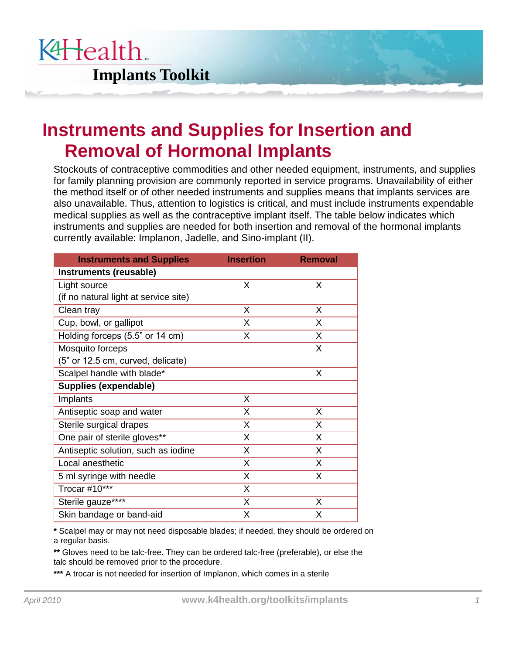

## **Instruments and Supplies for Insertion and Removal of Hormonal Implants**

Stockouts of contraceptive commodities and other needed equipment, instruments, and supplies for family planning provision are commonly reported in service programs. Unavailability of either the method itself or of other needed instruments and supplies means that implants services are also unavailable. Thus, attention to logistics is critical, and must include instruments expendable medical supplies as well as the contraceptive implant itself. The table below indicates which instruments and supplies are needed for both insertion and removal of the hormonal implants currently available: Implanon, Jadelle, and Sino-implant (II).

| <b>Instruments and Supplies</b>       | <b>Insertion</b> | <b>Removal</b> |
|---------------------------------------|------------------|----------------|
| Instruments (reusable)                |                  |                |
| Light source                          | X                | X              |
| (if no natural light at service site) |                  |                |
| Clean tray                            | X                | X              |
| Cup, bowl, or gallipot                | X                | X              |
| Holding forceps (5.5" or 14 cm)       | X                | X              |
| Mosquito forceps                      |                  | X              |
| (5" or 12.5 cm, curved, delicate)     |                  |                |
| Scalpel handle with blade*            |                  | X              |
| Supplies (expendable)                 |                  |                |
| Implants                              | X                |                |
| Antiseptic soap and water             | X                | X              |
| Sterile surgical drapes               | X                | X              |
| One pair of sterile gloves**          | X                | X              |
| Antiseptic solution, such as iodine   | X                | X              |
| Local anesthetic                      | X                | X              |
| 5 ml syringe with needle              | X                | X              |
| Trocar #10***                         | X                |                |
| Sterile gauze****                     | X                | X              |
| Skin bandage or band-aid              | X                | X              |

 **\*** Scalpel may or may not need disposable blades; if needed, they should be ordered on a regular basis.

 **\*\*** Gloves need to be talc-free. They can be ordered talc-free (preferable), or else the talc should be removed prior to the procedure.

 **\*\*\*** A trocar is not needed for insertion of Implanon, which comes in a sterile